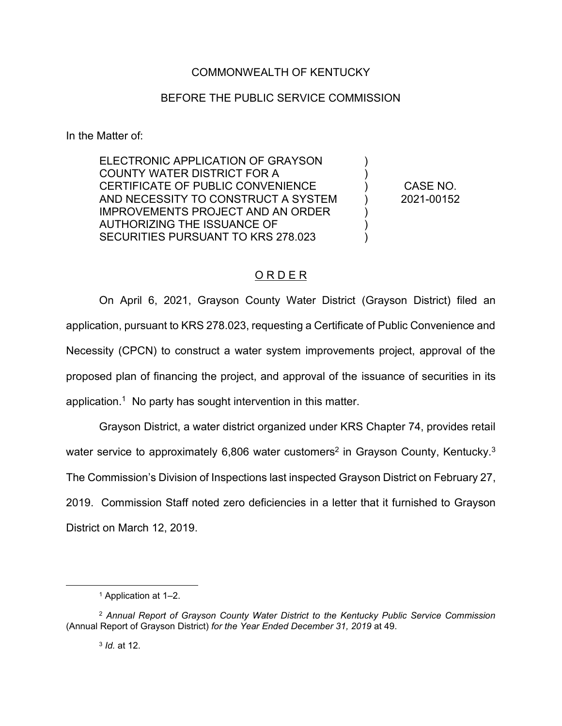## COMMONWEALTH OF KENTUCKY

## BEFORE THE PUBLIC SERVICE COMMISSION

In the Matter of:

ELECTRONIC APPLICATION OF GRAYSON COUNTY WATER DISTRICT FOR A CERTIFICATE OF PUBLIC CONVENIENCE AND NECESSITY TO CONSTRUCT A SYSTEM IMPROVEMENTS PROJECT AND AN ORDER AUTHORIZING THE ISSUANCE OF SECURITIES PURSUANT TO KRS 278.023

CASE NO. 2021-00152

 $\lambda$ ) ) ) ) )  $\lambda$ 

## O R D E R

On April 6, 2021, Grayson County Water District (Grayson District) filed an application, pursuant to KRS 278.023, requesting a Certificate of Public Convenience and Necessity (CPCN) to construct a water system improvements project, approval of the proposed plan of financing the project, and approval of the issuance of securities in its application.<sup>1</sup> No party has sought intervention in this matter.

Grayson District, a water district organized under KRS Chapter 74, provides retail water service to approximately 6,806 water customers<sup>2</sup> in Grayson County, Kentucky.<sup>3</sup> The Commission's Division of Inspections last inspected Grayson District on February 27, 2019. Commission Staff noted zero deficiencies in a letter that it furnished to Grayson District on March 12, 2019.

<sup>1</sup> Application at 1–2.

<sup>2</sup> *Annual Report of Grayson County Water District to the Kentucky Public Service Commission* (Annual Report of Grayson District) *for the Year Ended December 31, 2019* at 49.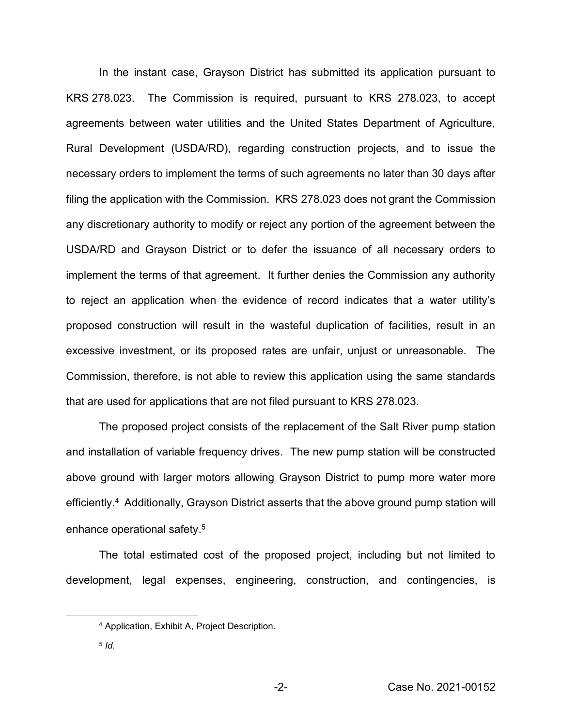In the instant case, Grayson District has submitted its application pursuant to KRS 278.023. The Commission is required, pursuant to KRS 278.023, to accept agreements between water utilities and the United States Department of Agriculture, Rural Development (USDA/RD), regarding construction projects, and to issue the necessary orders to implement the terms of such agreements no later than 30 days after filing the application with the Commission. KRS 278.023 does not grant the Commission any discretionary authority to modify or reject any portion of the agreement between the USDA/RD and Grayson District or to defer the issuance of all necessary orders to implement the terms of that agreement. It further denies the Commission any authority to reject an application when the evidence of record indicates that a water utility's proposed construction will result in the wasteful duplication of facilities, result in an excessive investment, or its proposed rates are unfair, unjust or unreasonable. The Commission, therefore, is not able to review this application using the same standards that are used for applications that are not filed pursuant to KRS 278.023.

The proposed project consists of the replacement of the Salt River pump station and installation of variable frequency drives. The new pump station will be constructed above ground with larger motors allowing Grayson District to pump more water more efficiently. <sup>4</sup> Additionally, Grayson District asserts that the above ground pump station will enhance operational safety.<sup>5</sup>

The total estimated cost of the proposed project, including but not limited to development, legal expenses, engineering, construction, and contingencies, is

<sup>4</sup> Application, Exhibit A, Project Description.

<sup>5</sup> *Id.*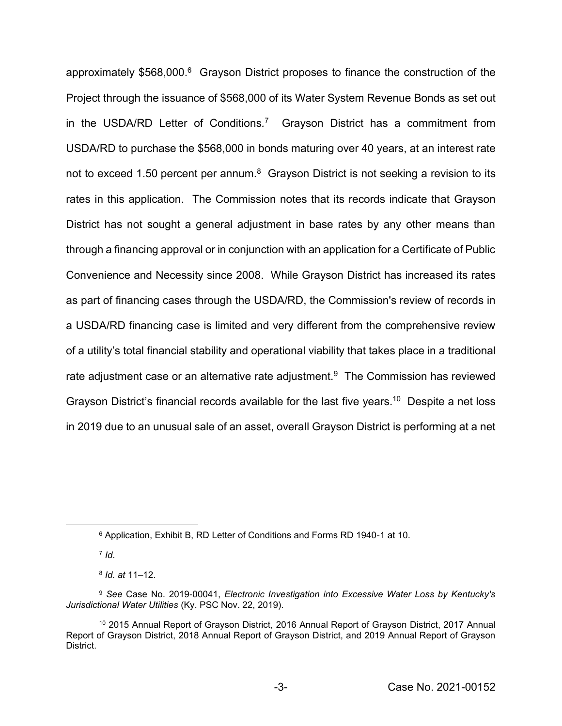approximately \$568,000.6 Grayson District proposes to finance the construction of the Project through the issuance of \$568,000 of its Water System Revenue Bonds as set out in the USDA/RD Letter of Conditions*.* <sup>7</sup>Grayson District has a commitment from USDA/RD to purchase the \$568,000 in bonds maturing over 40 years, at an interest rate not to exceed 1.50 percent per annum.<sup>8</sup> Grayson District is not seeking a revision to its rates in this application. The Commission notes that its records indicate that Grayson District has not sought a general adjustment in base rates by any other means than through a financing approval or in conjunction with an application for a Certificate of Public Convenience and Necessity since 2008. While Grayson District has increased its rates as part of financing cases through the USDA/RD, the Commission's review of records in a USDA/RD financing case is limited and very different from the comprehensive review of a utility's total financial stability and operational viability that takes place in a traditional rate adjustment case or an alternative rate adjustment.<sup>9</sup> The Commission has reviewed Grayson District's financial records available for the last five years.<sup>10</sup> Despite a net loss in 2019 due to an unusual sale of an asset, overall Grayson District is performing at a net

<sup>7</sup> *Id*.

<sup>6</sup> Application, Exhibit B, RD Letter of Conditions and Forms RD 1940-1 at 10*.*

<sup>8</sup> *Id. at* 11–12.

<sup>9</sup> *See* Case No. 2019-00041, *Electronic Investigation into Excessive Water Loss by Kentucky's Jurisdictional Water Utilities* (Ky. PSC Nov. 22, 2019).

<sup>10</sup> 2015 Annual Report of Grayson District, 2016 Annual Report of Grayson District, 2017 Annual Report of Grayson District, 2018 Annual Report of Grayson District, and 2019 Annual Report of Grayson District.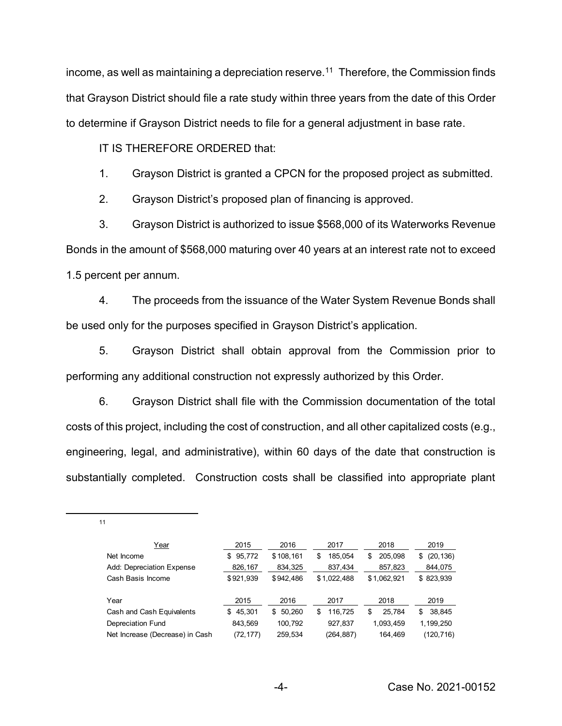income, as well as maintaining a depreciation reserve.<sup>11</sup> Therefore, the Commission finds that Grayson District should file a rate study within three years from the date of this Order to determine if Grayson District needs to file for a general adjustment in base rate.

IT IS THEREFORE ORDERED that:

1. Grayson District is granted a CPCN for the proposed project as submitted.

2. Grayson District's proposed plan of financing is approved.

3. Grayson District is authorized to issue \$568,000 of its Waterworks Revenue Bonds in the amount of \$568,000 maturing over 40 years at an interest rate not to exceed 1.5 percent per annum.

4. The proceeds from the issuance of the Water System Revenue Bonds shall be used only for the purposes specified in Grayson District's application.

5. Grayson District shall obtain approval from the Commission prior to performing any additional construction not expressly authorized by this Order.

6. Grayson District shall file with the Commission documentation of the total costs of this project, including the cost of construction, and all other capitalized costs (e.g., engineering, legal, and administrative), within 60 days of the date that construction is substantially completed. Construction costs shall be classified into appropriate plant

11

| Year                            | 2015         | 2016        | 2017          | 2018         | 2019            |
|---------------------------------|--------------|-------------|---------------|--------------|-----------------|
| Net Income                      | 95,772<br>\$ | \$108,161   | 185,054<br>\$ | 205.098<br>S | (20, 136)<br>\$ |
| Add: Depreciation Expense       | 826.167      | 834,325     | 837,434       | 857,823      | 844,075         |
| Cash Basis Income               | \$921,939    | \$942.486   | \$1,022,488   | \$1,062,921  | \$823,939       |
| Year                            | 2015         | 2016        | 2017          | 2018         | 2019            |
| Cash and Cash Equivalents       | 45,301<br>S. | 50,260<br>S | 116.725<br>S  | 25.784<br>\$ | 38,845<br>S     |
| Depreciation Fund               | 843.569      | 100,792     | 927,837       | 1,093,459    | 1,199,250       |
| Net Increase (Decrease) in Cash | (72, 177)    | 259,534     | (264,887)     | 164,469      | (120, 716)      |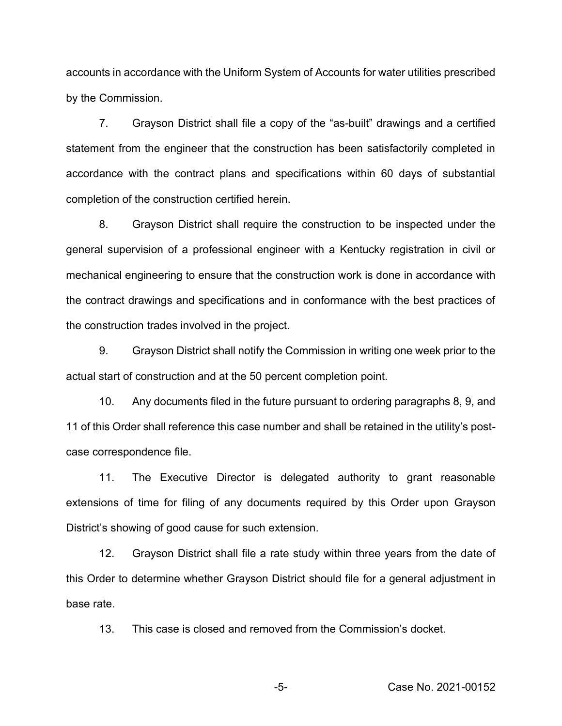accounts in accordance with the Uniform System of Accounts for water utilities prescribed by the Commission.

7. Grayson District shall file a copy of the "as-built" drawings and a certified statement from the engineer that the construction has been satisfactorily completed in accordance with the contract plans and specifications within 60 days of substantial completion of the construction certified herein.

8. Grayson District shall require the construction to be inspected under the general supervision of a professional engineer with a Kentucky registration in civil or mechanical engineering to ensure that the construction work is done in accordance with the contract drawings and specifications and in conformance with the best practices of the construction trades involved in the project.

9. Grayson District shall notify the Commission in writing one week prior to the actual start of construction and at the 50 percent completion point.

10. Any documents filed in the future pursuant to ordering paragraphs 8, 9, and 11 of this Order shall reference this case number and shall be retained in the utility's postcase correspondence file.

11. The Executive Director is delegated authority to grant reasonable extensions of time for filing of any documents required by this Order upon Grayson District's showing of good cause for such extension.

12. Grayson District shall file a rate study within three years from the date of this Order to determine whether Grayson District should file for a general adjustment in base rate.

13. This case is closed and removed from the Commission's docket.

-5- Case No. 2021-00152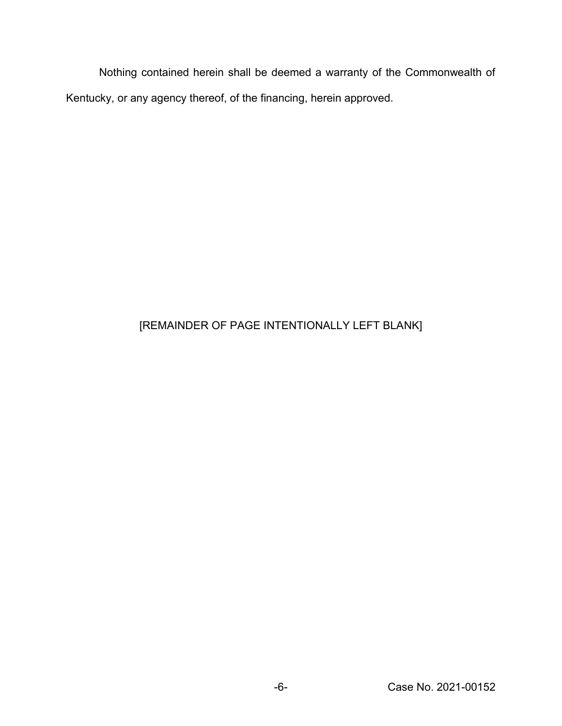Nothing contained herein shall be deemed a warranty of the Commonwealth of Kentucky, or any agency thereof, of the financing, herein approved.

## [REMAINDER OF PAGE INTENTIONALLY LEFT BLANK]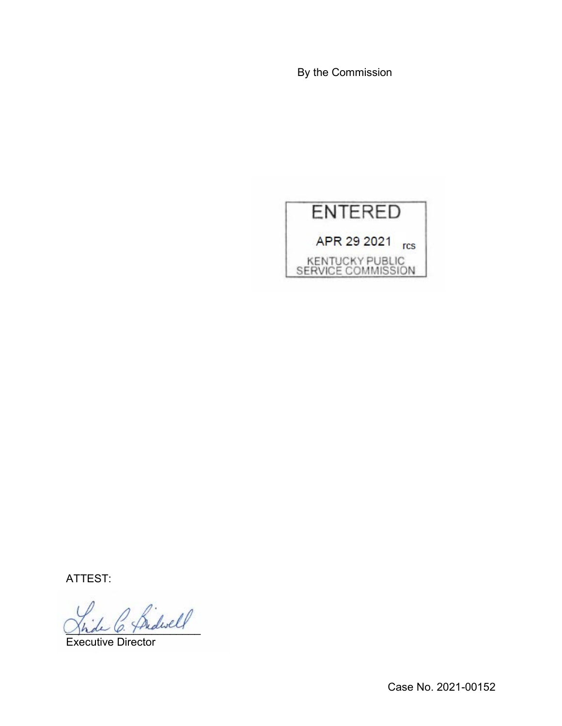By the Commission



ATTEST:

2 Sidwell

Executive Director

Case No. 2021-00152